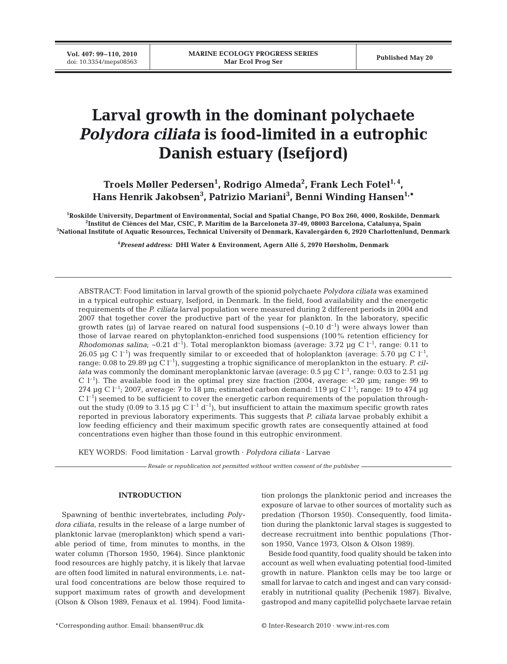# **Larval growth in the dominant polychaete** *Polydora ciliata* **is food-limited in a eutrophic Danish estuary (Isefjord)**

# Troels Møller Pedersen<sup>1</sup>, Rodrigo Almeda<sup>2</sup>, Frank Lech Fotel<sup>1,4</sup>, **Hans Henrik Jakobsen3 , Patrizio Mariani3 , Benni Winding Hansen1,\***

**1 Roskilde University, Department of Environmental, Social and Spatial Change, PO Box 260, 4000, Roskilde, Denmark 2 Institut de Ciènces del Mar, CSIC, P. Marítim de la Barceloneta 37-49, 08003 Barcelona, Catalunya, Spain 3 National Institute of Aquatic Resources, Technical University of Denmark, Kavalergården 6, 2920 Charlottenlund, Denmark**

**4** *Present address:* **DHI Water & Environment, Agern Allé 5, 2970 Hørsholm, Denmark**

ABSTRACT: Food limitation in larval growth of the spionid polychaete *Polydora ciliata* was examined in a typical eutrophic estuary, Isefjord, in Denmark. In the field, food availability and the energetic requirements of the *P. ciliata* larval population were measured during 2 different periods in 2004 and 2007 that together cover the productive part of the year for plankton. In the laboratory, specific growth rates ( $\mu$ ) of larvae reared on natural food suspensions ( $\sim$ 0.10 d<sup>-1</sup>) were always lower than those of larvae reared on phytoplankton-enriched food suspensions (100% retention efficiency for *Rhodomonas salina*; ~0.21 d<sup>-1</sup>). Total meroplankton biomass (average: 3.72 µg C l<sup>-1</sup>, range: 0.11 to 26.05 µg C l<sup>-1</sup>) was frequently similar to or exceeded that of holoplankton (average: 5.70 µg C l<sup>-1</sup>, range: 0.08 to 29.89 µg C l<sup>-1</sup>), suggesting a trophic significance of meroplankton in the estuary. *P. ciliata* was commonly the dominant meroplanktonic larvae (average: 0.5 µg C  $l^{-1}$ , range: 0.03 to 2.51 µg C  $l^{-1}$ ). The available food in the optimal prey size fraction (2004, average: <20  $\mu$ m; range: 99 to 274  $\mu$ g C l<sup>-1</sup>; 2007, average: 7 to 18  $\mu$ m; estimated carbon demand: 119  $\mu$ g C l<sup>-1</sup>; range: 19 to 474  $\mu$ g  $C$  l<sup>-1</sup>) seemed to be sufficient to cover the energetic carbon requirements of the population throughout the study (0.09 to 3.15 µg C  $l^{-1}$  d<sup>-1</sup>), but insufficient to attain the maximum specific growth rates reported in previous laboratory experiments. This suggests that *P. ciliata* larvae probably exhibit a low feeding efficiency and their maximum specific growth rates are consequently attained at food concentrations even higher than those found in this eutrophic environment.

KEY WORDS: Food limitation · Larval growth · *Polydora ciliata* · Larvae

*Resale or republication not permitted without written consent of the publisher*

# **INTRODUCTION**

Spawning of benthic invertebrates, including *Polydora ciliata*, results in the release of a large number of planktonic larvae (meroplankton) which spend a variable period of time, from minutes to months, in the water column (Thorson 1950, 1964). Since planktonic food resources are highly patchy, it is likely that larvae are often food limited in natural environments, i.e. natural food concentrations are below those required to support maximum rates of growth and development (Olson & Olson 1989, Fenaux et al. 1994). Food limitation prolongs the planktonic period and increases the exposure of larvae to other sources of mortality such as predation (Thorson 1950). Consequently, food limitation during the planktonic larval stages is suggested to decrease recruitment into benthic populations (Thorson 1950, Vance 1973, Olson & Olson 1989).

Beside food quantity, food quality should be taken into account as well when evaluating potential food-limited growth in nature. Plankton cells may be too large or small for larvae to catch and ingest and can vary considerably in nutritional quality (Pechenik 1987). Bivalve, gastropod and many capitellid polychaete larvae retain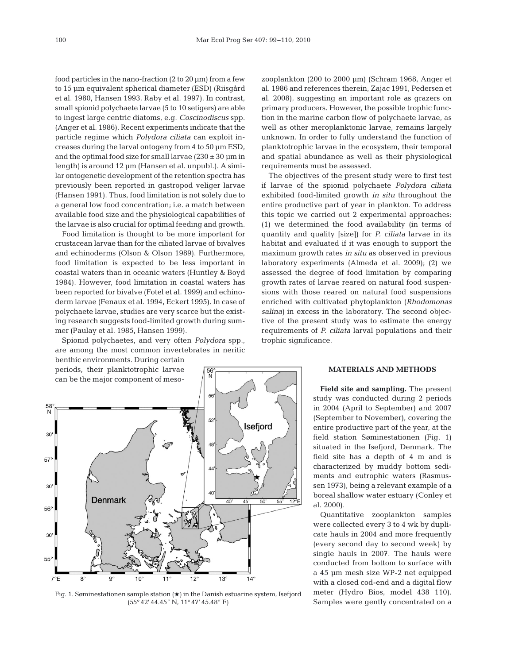food particles in the nano-fraction  $(2 \text{ to } 20 \text{ }\mu\text{m})$  from a few to 15 µm equivalent spherical diameter (ESD) (Riisgård et al. 1980, Hansen 1993, Raby et al. 1997). In contrast, small spionid polychaete larvae (5 to 10 setigers) are able to ingest large centric diatoms, e.g. *Coscinodiscus* spp. (Anger et al. 1986). Recent experiments indicate that the particle regime which *Polydora ciliata* can exploit increases during the larval ontogeny from 4 to 50 µm ESD, and the optimal food size for small larvae  $(230 \pm 30 \,\mathrm{\upmu m})$  in length) is around 12 µm (Hansen et al. unpubl.). A similar ontogenetic development of the retention spectra has previously been reported in gastropod veliger larvae (Hansen 1991). Thus, food limitation is not solely due to a general low food concentration; i.e. a match between available food size and the physiological capabilities of the larvae is also crucial for optimal feeding and growth.

Food limitation is thought to be more important for crustacean larvae than for the ciliated larvae of bivalves and echinoderms (Olson & Olson 1989). Furthermore, food limitation is expected to be less important in coastal waters than in oceanic waters (Huntley & Boyd 1984). However, food limitation in coastal waters has been reported for bivalve (Fotel et al. 1999) and echinoderm larvae (Fenaux et al. 1994, Eckert 1995). In case of polychaete larvae, studies are very scarce but the existing research suggests food-limited growth during summer (Paulay et al. 1985, Hansen 1999).

Spionid polychaetes, and very often *Polydora* spp., are among the most common invertebrates in neritic

benthic environments. During certain periods, their planktotrophic larvae can be the major component of meso-



 $\frac{56}{N}$ 

Fig. 1. Søminestationen sample station  $(\star)$  in the Danish estuarine system, Isefjord (55° 42' 44.45" N, 11° 47' 45.48" E)

zooplankton (200 to 2000 µm) (Schram 1968, Anger et al. 1986 and references therein, Zajac 1991, Pedersen et al. 2008), suggesting an important role as grazers on primary producers. However, the possible trophic function in the marine carbon flow of polychaete larvae, as well as other meroplanktonic larvae, remains largely unknown. In order to fully understand the function of planktotrophic larvae in the ecosystem, their temporal and spatial abundance as well as their physiological requirements must be assessed.

The objectives of the present study were to first test if larvae of the spionid polychaete *Polydora ciliata* exhibited food-limited growth *in situ* throughout the entire productive part of year in plankton. To address this topic we carried out 2 experimental approaches: (1) we determined the food availability (in terms of quantity and quality [size]) for *P. ciliata* larvae in its habitat and evaluated if it was enough to support the maximum growth rates *in situ* as observed in previous laboratory experiments (Almeda et al. 2009); (2) we assessed the degree of food limitation by comparing growth rates of larvae reared on natural food suspensions with those reared on natural food suspensions enriched with cultivated phytoplankton (*Rhodomonas salina)* in excess in the laboratory. The second objective of the present study was to estimate the energy requirements of *P. ciliata* larval populations and their trophic significance.

#### **MATERIALS AND METHODS**

**Field site and sampling.** The present study was conducted during 2 periods in 2004 (April to September) and 2007 (September to November), covering the entire productive part of the year, at the field station Søminestationen (Fig. 1) situated in the Isefjord, Denmark. The field site has a depth of 4 m and is characterized by muddy bottom sediments and eutrophic waters (Rasmussen 1973), being a relevant example of a boreal shallow water estuary (Conley et al. 2000).

Quantitative zooplankton samples were collected every 3 to 4 wk by duplicate hauls in 2004 and more frequently (every second day to second week) by single hauls in 2007. The hauls were conducted from bottom to surface with a 45 µm mesh size WP-2 net equipped with a closed cod-end and a digital flow meter (Hydro Bios, model 438 110). Samples were gently concentrated on a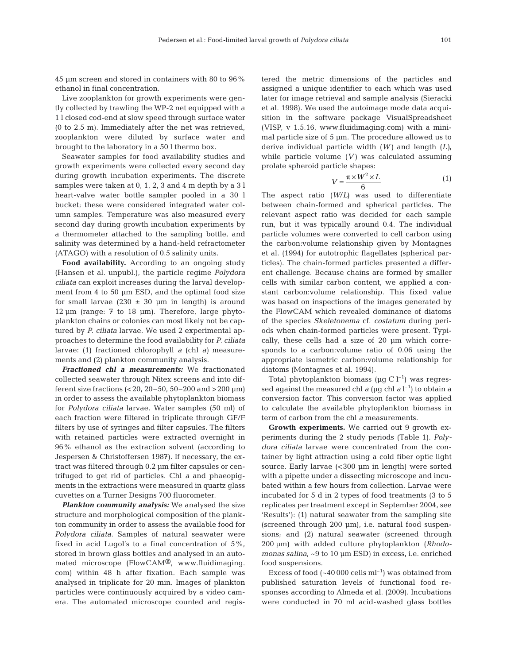45 µm screen and stored in containers with 80 to 96% ethanol in final concentration.

Live zooplankton for growth experiments were gently collected by trawling the WP-2 net equipped with a 1 l closed cod-end at slow speed through surface water (0 to 2.5 m). Immediately after the net was retrieved, zooplankton were diluted by surface water and brought to the laboratory in a 50 l thermo box.

Seawater samples for food availability studies and growth experiments were collected every second day during growth incubation experiments. The discrete samples were taken at 0, 1, 2, 3 and 4 m depth by a 3 l heart-valve water bottle sampler pooled in a 30 l bucket; these were considered integrated water column samples. Temperature was also measured every second day during growth incubation experiments by a thermometer attached to the sampling bottle, and salinity was determined by a hand-held refractometer (ATAGO) with a resolution of 0.5 salinity units.

Food availability. According to an ongoing study (Hansen et al. unpubl.), the particle regime *Polydora ciliata* can exploit increases during the larval development from 4 to 50  $\mu$ m ESD, and the optimal food size for small larvae  $(230 \pm 30 \mu m)$  in length) is around 12 µm (range: 7 to 18 µm). Therefore, large phytoplankton chains or colonies can most likely not be captured by *P. ciliata* larvae. We used 2 experimental approaches to determine the food availability for *P. ciliata* larvae: (1) fractioned chlorophyll *a* (chl *a)* measurements and (2) plankton community analysis.

*Fractioned chl a measurements:* We fractionated collected seawater through Nitex screens and into different size fractions (<20, 20–50, 50–200 and >200 µm) in order to assess the available phytoplankton biomass for *Polydora ciliata* larvae. Water samples (50 ml) of each fraction were filtered in triplicate through GF/F filters by use of syringes and filter capsules. The filters with retained particles were extracted overnight in 96% ethanol as the extraction solvent (according to Jespersen & Christoffersen 1987). If necessary, the extract was filtered through 0.2 µm filter capsules or centrifuged to get rid of particles. Chl *a* and phaeopigments in the extractions were measured in quartz glass cuvettes on a Turner Designs 700 fluorometer.

*Plankton community analysis:* We analysed the size structure and morphological composition of the plankton community in order to assess the available food for *Polydora ciliata*. Samples of natural seawater were fixed in acid Lugol's to a final concentration of 5%, stored in brown glass bottles and analysed in an automated microscope (FlowCAM®, www.fluidimaging. com) within 48 h after fixation. Each sample was analysed in triplicate for 20 min. Images of plankton particles were continuously acquired by a video camera. The automated microscope counted and registered the metric dimensions of the particles and assigned a unique identifier to each which was used later for image retrieval and sample analysis (Sieracki et al. 1998). We used the autoimage mode data acquisition in the software package VisualSpreadsheet (VISP, v 1.5.16, www.fluidimaging.com) with a minimal particle size of 5 µm. The procedure allowed us to derive individual particle width (*W)* and length (*L)*, while particle volume (*V)* was calculated assuming prolate spheroid particle shapes:

$$
V = \frac{\pi \times W^2 \times L}{6} \tag{1}
$$

The aspect ratio (*W*/*L)* was used to differentiate between chain-formed and spherical particles. The relevant aspect ratio was decided for each sample run, but it was typically around 0.4. The individual particle volumes were converted to cell carbon using the carbon:volume relationship given by Montagnes et al. (1994) for autotrophic flagellates (spherical particles). The chain-formed particles presented a different challenge. Because chains are formed by smaller cells with similar carbon content, we applied a constant carbon:volume relationship. This fixed value was based on inspections of the images generated by the FlowCAM which revealed dominance of diatoms of the species *Skeletonema* cf. *costatum* during periods when chain-formed particles were present. Typically, these cells had a size of 20 µm which corresponds to a carbon:volume ratio of 0.06 using the appropriate isometric carbon:volume relationship for diatoms (Montagnes et al. 1994).

Total phytoplankton biomass ( $\mu$ g C l<sup>-1</sup>) was regressed against the measured chl  $a$  (µg chl  $a$  l $^{-1}$ ) to obtain a conversion factor. This conversion factor was applied to calculate the available phytoplankton biomass in term of carbon from the chl *a* measurements.

**Growth experiments.** We carried out 9 growth experiments during the 2 study periods (Table 1). *Polydora ciliata* larvae were concentrated from the container by light attraction using a cold fiber optic light source. Early larvae (<300 µm in length) were sorted with a pipette under a dissecting microscope and incubated within a few hours from collection. Larvae were incubated for 5 d in 2 types of food treatments (3 to 5 replicates per treatment except in September 2004, see 'Results'): (1) natural seawater from the sampling site (screened through 200 µm), i.e. natural food suspensions; and (2) natural seawater (screened through 200 µm) with added culture phytoplankton (*Rhodomonas salina*, ~9 to 10 µm ESD) in excess, i.e. enriched food suspensions.

Excess of food  $({\sim}40\,000 \text{ cells m}^{-1})$  was obtained from published saturation levels of functional food responses according to Almeda et al. (2009). Incubations were conducted in 70 ml acid-washed glass bottles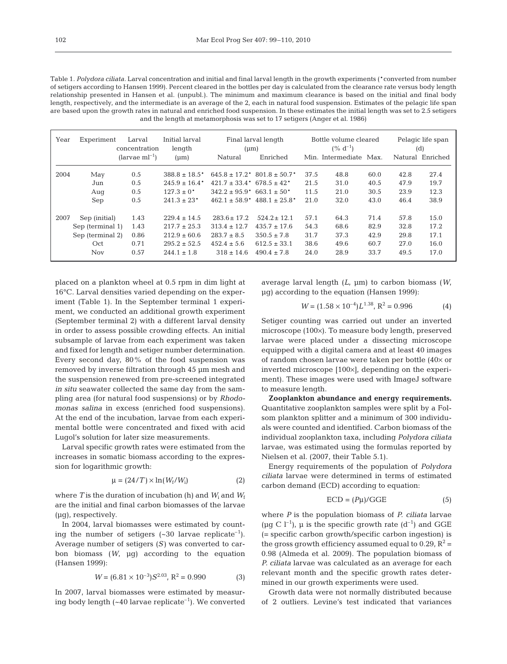Table 1. *Polydora ciliata.* Larval concentration and initial and final larval length in the growth experiments (\*converted from number of setigers according to Hansen 1999). Percent cleared in the bottles per day is calculated from the clearance rate versus body length relationship presented in Hansen et al. (unpubl.). The minimum and maximum clearance is based on the initial and final body length, respectively, and the intermediate is an average of the 2, each in natural food suspension. Estimates of the pelagic life span are based upon the growth rates in natural and enriched food suspension. In these estimates the initial length was set to 2.5 setigers and the length at metamorphosis was set to 17 setigers (Anger et al. 1986)

| Year | Experiment       | Larval<br>concentration | Initial larval<br>length    | Final larval length<br>(num)        |                               | Bottle volume cleared<br>$(% d^{-1})$ |                   | Pelagic life span<br>(d) |      |                  |
|------|------------------|-------------------------|-----------------------------|-------------------------------------|-------------------------------|---------------------------------------|-------------------|--------------------------|------|------------------|
|      |                  | $(larvae ml-1)$         | (num)                       | Natural                             | Enriched                      |                                       | Min. Intermediate | Max.                     |      | Natural Enriched |
| 2004 | May              | 0.5                     | $388.8 \pm 18.5^*$          | $645.8 \pm 17.2^*$                  | $801.8 \pm 50.7$ <sup>*</sup> | 37.5                                  | 48.8              | 60.0                     | 42.8 | 27.4             |
|      | Jun              | 0.5                     | $245.9 \pm 16.4*$           | $421.7 \pm 33.4$ * 678.5 $\pm 42$ * |                               | 21.5                                  | 31.0              | 40.5                     | 47.9 | 19.7             |
|      | Aug              | 0.5                     | $127.3 \pm 0^*$             | $342.2 \pm 95.9^*$                  | $663.1 + 50*$                 | 11.5                                  | 21.0              | 30.5                     | 23.9 | 12.3             |
|      | Sep              | 0.5                     | $241.3 \pm 23$ <sup>*</sup> | $462.1 \pm 58.9^*$                  | $488.1 \pm 25.8^*$            | 21.0                                  | 32.0              | 43.0                     | 46.4 | 38.9             |
| 2007 | Sep (initial)    | 1.43                    | $229.4 \pm 14.5$            | $283.6 \pm 17.2$                    | $524.2 \pm 12.1$              | 57.1                                  | 64.3              | 71.4                     | 57.8 | 15.0             |
|      | Sep (terminal 1) | 1.43                    | $217.7 \pm 25.3$            | $313.4 \pm 12.7$                    | $435.7 \pm 17.6$              | 54.3                                  | 68.6              | 82.9                     | 32.8 | 17.2             |
|      | Sep (terminal 2) | 0.86                    | $212.9 \pm 60.6$            | $283.7 \pm 8.5$                     | $350.5 \pm 7.8$               | 31.7                                  | 37.3              | 42.9                     | 29.8 | 17.1             |
|      | Oct              | 0.71                    | $295.2 \pm 52.5$            | $452.4 \pm 5.6$                     | $612.5 \pm 33.1$              | 38.6                                  | 49.6              | 60.7                     | 27.0 | 16.0             |
|      | <b>Nov</b>       | 0.57                    | $244.1 \pm 1.8$             | $318 \pm 14.6$                      | $490.4 \pm 7.8$               | 24.0                                  | 28.9              | 33.7                     | 49.5 | 17.0             |

placed on a plankton wheel at 0.5 rpm in dim light at 16°C. Larval densities varied depending on the experiment (Table 1). In the September terminal 1 experiment, we conducted an additional growth experiment (September terminal 2) with a different larval density in order to assess possible crowding effects. An initial subsample of larvae from each experiment was taken and fixed for length and setiger number determination. Every second day, 80% of the food suspension was removed by inverse filtration through 45 µm mesh and the suspension renewed from pre-screened integrated *in situ* seawater collected the same day from the sampling area (for natural food suspensions) or by *Rhodomonas salina* in excess (enriched food suspensions). At the end of the incubation, larvae from each experimental bottle were concentrated and fixed with acid Lugol's solution for later size measurements.

Larval specific growth rates were estimated from the increases in somatic biomass according to the expression for logarithmic growth:

$$
\mu = (24/T) \times \ln(W_f/W_i) \tag{2}
$$

where *T* is the duration of incubation (h) and  $W_i$  and  $W_f$ are the initial and final carbon biomasses of the larvae (µg), respectively.

In 2004, larval biomasses were estimated by counting the number of setigers  $(-30 \text{ larvae replicate}^{-1})$ . Average number of setigers (*S)* was converted to carbon biomass (*W*, µg) according to the equation (Hansen 1999):

$$
W = (6.81 \times 10^{-3})S^{2.03}, R^2 = 0.990
$$
 (3)

In 2007, larval biomasses were estimated by measuring body length  $(-40 \text{ larvae replicate}^{-1})$ . We converted average larval length (*L*, µm) to carbon biomass (*W*, µg) according to the equation (Hansen 1999):

$$
W = (1.58 \times 10^{-4})L^{1.38}, R^2 = 0.996 \tag{4}
$$

Setiger counting was carried out under an inverted microscope (100×). To measure body length, preserved larvae were placed under a dissecting microscope equipped with a digital camera and at least 40 images of random chosen larvae were taken per bottle (40× or inverted microscope [100×], depending on the experiment). These images were used with ImageJ software to measure length.

**Zooplankton abundance and energy requirements.** Quantitative zooplankton samples were split by a Folsom plankton splitter and a minimum of 300 individuals were counted and identified. Carbon biomass of the individual zooplankton taxa, including *Polydora ciliata* larvae, was estimated using the formulas reported by Nielsen et al. (2007, their Table 5.1).

Energy requirements of the population of *Polydora ciliata* larvae were determined in terms of estimated carbon demand (ECD) according to equation:

$$
ECD = (P\mu)/GGE \tag{5}
$$

where *P* is the population biomass of *P. ciliata* larvae (µg C l<sup>-1</sup>), µ is the specific growth rate (d<sup>-1</sup>) and GGE (= specific carbon growth/specific carbon ingestion) is the gross growth efficiency assumed equal to 0.29,  $R^2$  = 0.98 (Almeda et al. 2009). The population biomass of *P. ciliata* larvae was calculated as an average for each relevant month and the specific growth rates determined in our growth experiments were used.

Growth data were not normally distributed because of 2 outliers. Levine's test indicated that variances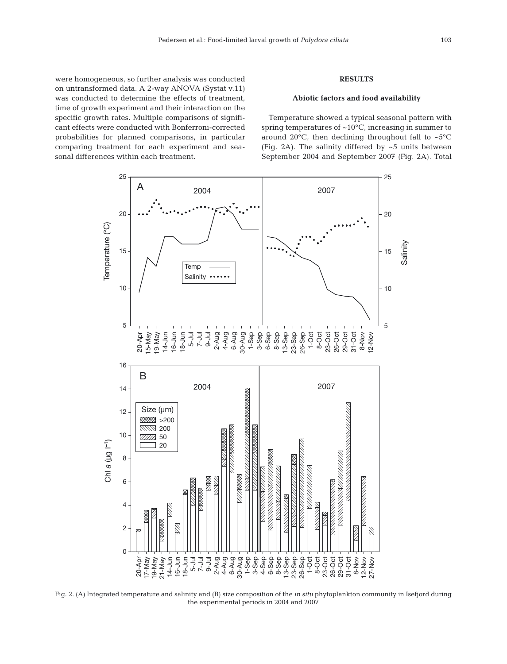were homogeneous, so further analysis was conducted on untransformed data. A 2-way ANOVA (Systat v.11) was conducted to determine the effects of treatment, time of growth experiment and their interaction on the specific growth rates. Multiple comparisons of significant effects were conducted with Bonferroni-corrected probabilities for planned comparisons, in particular comparing treatment for each experiment and seasonal differences within each treatment.

# **RESULTS**

# **Abiotic factors and food availability**

Temperature showed a typical seasonal pattern with spring temperatures of ~10°C, increasing in summer to around 20 $^{\circ}$ C, then declining throughout fall to ~5 $^{\circ}$ C (Fig. 2A). The salinity differed by ~5 units between September 2004 and September 2007 (Fig. 2A). Total



Fig. 2. (A) Integrated temperature and salinity and (B) size composition of the *in situ* phytoplankton community in Isefjord during the experimental periods in 2004 and 2007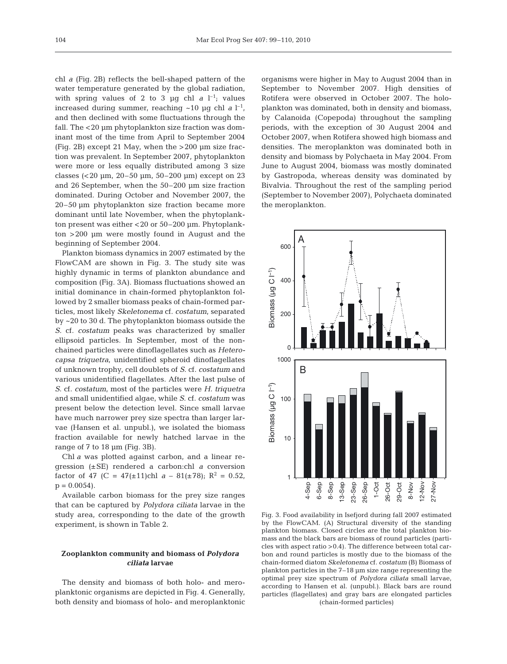chl *a* (Fig. 2B) reflects the bell-shaped pattern of the water temperature generated by the global radiation, with spring values of 2 to 3  $\mu$ g chl *a* l<sup>-1</sup>; values increased during summer, reaching  $\sim$ 10  $\mu$ g chl *a* l<sup>-1</sup>, and then declined with some fluctuations through the fall. The <20 µm phytoplankton size fraction was dominant most of the time from April to September 2004 (Fig. 2B) except 21 May, when the >200 µm size fraction was prevalent. In September 2007, phytoplankton were more or less equally distributed among 3 size classes  $( $20 \mu m$ ,  $20-50 \mu m$ ,  $50-200 \mu m$ ) except on 23$ and 26 September, when the 50–200 µm size fraction dominated. During October and November 2007, the 20–50 µm phytoplankton size fraction became more dominant until late November, when the phytoplankton present was either <20 or 50–200 µm. Phytoplankton >200 µm were mostly found in August and the beginning of September 2004.

Plankton biomass dynamics in 2007 estimated by the FlowCAM are shown in Fig. 3. The study site was highly dynamic in terms of plankton abundance and composition (Fig. 3A). Biomass fluctuations showed an initial dominance in chain-formed phytoplankton followed by 2 smaller biomass peaks of chain-formed particles, most likely *Skeletonema* cf. *costatum*, separated by ~20 to 30 d. The phytoplankton biomass outside the *S.* cf. *costatum* peaks was characterized by smaller ellipsoid particles. In September, most of the nonchained particles were dinoflagellates such as *Heterocapsa triquetra*, unidentified spheroid dinoflagellates of unknown trophy, cell doublets of *S*. cf. *costatum* and various unidentified flagellates. After the last pulse of *S*. cf. *costatum*, most of the particles were *H. triquetra* and small unidentified algae, while *S*. cf. *costatum* was present below the detection level. Since small larvae have much narrower prey size spectra than larger larvae (Hansen et al. unpubl.), we isolated the biomass fraction available for newly hatched larvae in the range of  $7$  to  $18 \mu m$  (Fig. 3B).

Chl *a* was plotted against carbon, and a linear regression (±SE) rendered a carbon:chl *a* conversion factor of 47 (C = 47( $\pm$ 11)chl *a* – 81( $\pm$ 78); R<sup>2</sup> = 0.52,  $p = 0.0054$ .

Available carbon biomass for the prey size ranges that can be captured by *Polydora ciliata* larvae in the study area, corresponding to the date of the growth experiment, is shown in Table 2.

## **Zooplankton community and biomass of** *Polydora ciliata* **larvae**

The density and biomass of both holo- and meroplanktonic organisms are depicted in Fig. 4. Generally, both density and biomass of holo- and meroplanktonic organisms were higher in May to August 2004 than in September to November 2007. High densities of Rotifera were observed in October 2007. The holoplankton was dominated, both in density and biomass, by Calanoida (Copepoda) throughout the sampling periods, with the exception of 30 August 2004 and October 2007, when Rotifera showed high biomass and densities. The meroplankton was dominated both in density and biomass by Polychaeta in May 2004. From June to August 2004, biomass was mostly dominated by Gastropoda, whereas density was dominated by Bivalvia. Throughout the rest of the sampling period (September to November 2007), Polychaeta dominated the meroplankton.



Fig. 3. Food availability in Isefjord during fall 2007 estimated by the FlowCAM. (A) Structural diversity of the standing plankton biomass. Closed circles are the total plankton biomass and the black bars are biomass of round particles (particles with aspect ratio >0.4). The difference between total carbon and round particles is mostly due to the biomass of the chain-formed diatom *Skeletonema* cf. *costatum* (B) Biomass of plankton particles in the 7–18 µm size range representing the optimal prey size spectrum of *Polydora ciliata* small larvae, according to Hansen et al. (unpubl.). Black bars are round particles (flagellates) and gray bars are elongated particles (chain-formed particles)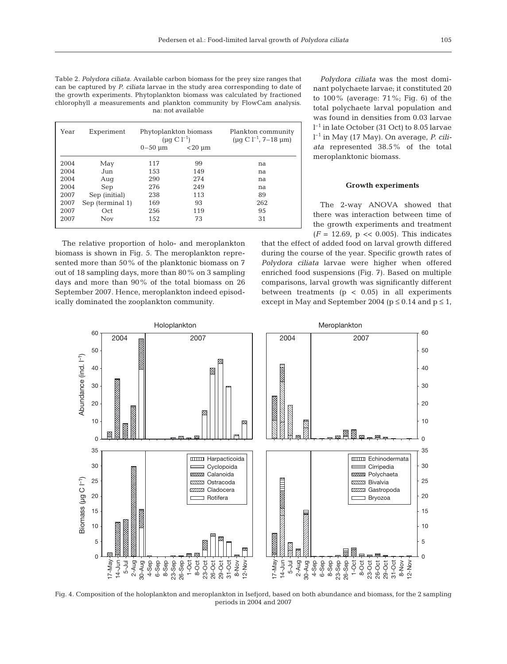Table 2. *Polydora ciliata*. Available carbon biomass for the prey size ranges that can be captured by *P. ciliata* larvae in the study area corresponding to date of the growth experiments. Phytoplankton biomass was calculated by fractioned chlorophyll *a* measurements and plankton community by FlowCam analysis. na: not available

| Year | Experiment       | Phytoplankton biomass<br>$(\mu q C l^{-1})$ |                | Plankton community<br>$(\mu g \, C \, l^{-1}, 7-18 \, \mu m)$ |
|------|------------------|---------------------------------------------|----------------|---------------------------------------------------------------|
|      |                  | $0 - 50 \mu m$                              | $<$ 20 $\mu$ m |                                                               |
| 2004 | May              | 117                                         | 99             | na                                                            |
| 2004 | Jun              | 153                                         | 149            | na                                                            |
| 2004 | Aug              | 290                                         | 274            | na                                                            |
| 2004 | Sep              | 276                                         | 249            | na                                                            |
| 2007 | Sep (initial)    | 238                                         | 113            | 89                                                            |
| 2007 | Sep (terminal 1) | 169                                         | 93             | 262                                                           |
| 2007 | Oct              | 256                                         | 119            | 95                                                            |
| 2007 | <b>Nov</b>       | 152                                         | 73             | 31                                                            |

The relative proportion of holo- and meroplankton biomass is shown in Fig. 5. The meroplankton represented more than 50% of the planktonic biomass on 7 out of 18 sampling days, more than 80% on 3 sampling days and more than 90% of the total biomass on 26 September 2007. Hence, meroplankton indeed episodically dominated the zooplankton community.

*Polydora ciliata* was the most dominant polychaete larvae; it constituted 20 to 100% (average: 71%; Fig. 6) of the total polychaete larval population and was found in densities from 0.03 larvae l –1 in late October (31 Oct) to 8.05 larvae l –1 in May (17 May). On average, *P. ciliata* represented 38.5% of the total meroplanktonic biomass.

#### **Growth experiments**

The 2-way ANOVA showed that there was interaction between time of the growth experiments and treatment  $(F = 12.69, p \ll 0.005)$ . This indicates

that the effect of added food on larval growth differed during the course of the year. Specific growth rates of *Polydora ciliata* larvae were higher when offered enriched food suspensions (Fig. 7). Based on multiple comparisons, larval growth was significantly different between treatments ( $p < 0.05$ ) in all experiments except in May and September 2004 ( $p \le 0.14$  and  $p \le 1$ ,



Fig. 4. Composition of the holoplankton and meroplankton in Isefjord, based on both abundance and biomass, for the 2 sampling periods in 2004 and 2007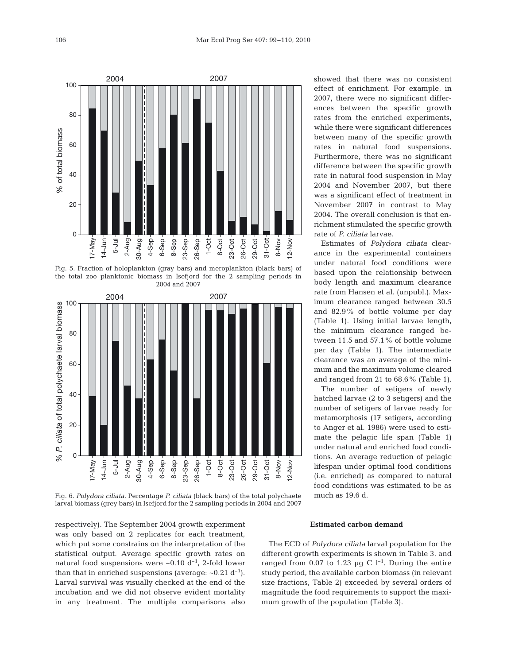

Fig. 5. Fraction of holoplankton (gray bars) and meroplankton (black bars) of the total zoo planktonic biomass in Isefjord for the 2 sampling periods in 2004 and 2007



Fig. 6. *Polydora ciliata*. Percentage *P. ciliata* (black bars) of the total polychaete larval biomass (grey bars) in Isefjord for the 2 sampling periods in 2004 and 2007

showed that there was no consistent effect of enrichment. For example, in 2007, there were no significant differences between the specific growth rates from the enriched experiments, while there were significant differences between many of the specific growth rates in natural food suspensions. Furthermore, there was no significant difference between the specific growth rate in natural food suspension in May 2004 and November 2007, but there was a significant effect of treatment in November 2007 in contrast to May 2004. The overall conclusion is that enrichment stimulated the specific growth rate of *P. ciliata* larvae.

Estimates of *Polydora ciliata* clearance in the experimental containers under natural food conditions were based upon the relationship between body length and maximum clearance rate from Hansen et al. (unpubl.). Maximum clearance ranged between 30.5 and 82.9% of bottle volume per day (Table 1). Using initial larvae length, the minimum clearance ranged between 11.5 and 57.1% of bottle volume per day (Table 1). The intermediate clearance was an average of the minimum and the maximum volume cleared and ranged from 21 to 68.6% (Table 1).

The number of setigers of newly hatched larvae (2 to 3 setigers) and the number of setigers of larvae ready for metamorphosis (17 setigers, according to Anger et al. 1986) were used to estimate the pelagic life span (Table 1) under natural and enriched food conditions. An average reduction of pelagic lifespan under optimal food conditions (i.e. enriched) as compared to natural food conditions was estimated to be as much as 19.6 d.

respectively). The September 2004 growth experiment was only based on 2 replicates for each treatment, which put some constrains on the interpretation of the statistical output. Average specific growth rates on natural food suspensions were  $\sim 0.10 \, \mathrm{d}^{-1}$ , 2-fold lower than that in enriched suspensions (average:  $\sim 0.21 \text{ d}^{-1}$ ). Larval survival was visually checked at the end of the incubation and we did not observe evident mortality in any treatment. The multiple comparisons also

#### **Estimated carbon demand**

The ECD of *Polydora ciliata* larval population for the different growth experiments is shown in Table 3, and ranged from 0.07 to 1.23 µg C  $l^{-1}$ . During the entire study period, the available carbon biomass (in relevant size fractions, Table 2) exceeded by several orders of magnitude the food requirements to support the maximum growth of the population (Table 3).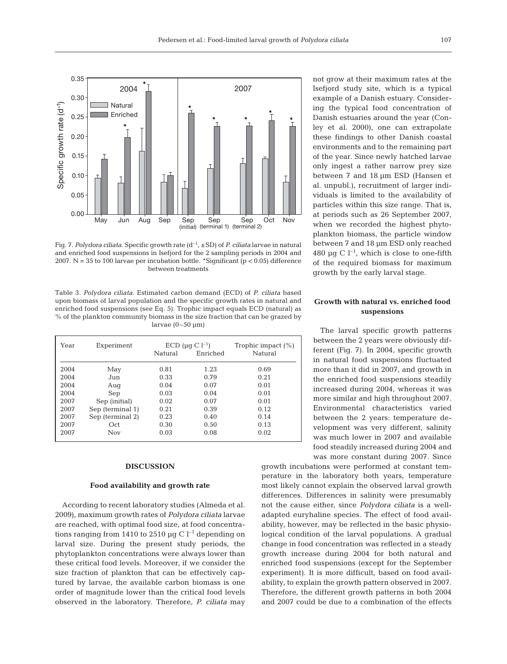

Fig. 7. *Polydora ciliata*. Specific growth rate (d–1, ±SD) of *P. ciliata* larvae in natural and enriched food suspensions in Isefjord for the 2 sampling periods in 2004 and 2007. N = 35 to 100 larvae per incubation bottle. \*Significant ( $p < 0.05$ ) difference between treatments

Table 3. *Polydora ciliata*. Estimated carbon demand (ECD) of *P. ciliata* based upon biomass of larval population and the specific growth rates in natural and enriched food suspensions (see Eq. 5). Trophic impact equals ECD (natural) as % of the plankton community biomass in the size fraction that can be grazed by larvae  $(0-50 \mu m)$ 

| Year | Experiment       |         | $ECD$ (µq C l <sup>-1</sup> ) | Trophic impact $(\%)$ |
|------|------------------|---------|-------------------------------|-----------------------|
|      |                  | Natural | Enriched                      | Natural               |
| 2004 | May              | 0.81    | 1.23                          | 0.69                  |
| 2004 | Jun              | 0.33    | 0.79                          | 0.21                  |
| 2004 | Aug              | 0.04    | 0.07                          | 0.01                  |
| 2004 | Sep              | 0.03    | 0.04                          | 0.01                  |
| 2007 | Sep (initial)    | 0.02    | 0.07                          | 0.01                  |
| 2007 | Sep (terminal 1) | 0.21    | 0.39                          | 0.12                  |
| 2007 | Sep (terminal 2) | 0.23    | 0.40                          | 0.14                  |
| 2007 | Oct              | 0.30    | 0.50                          | 0.13                  |
| 2007 | <b>Nov</b>       | 0.03    | 0.08                          | 0.02                  |

#### **DISCUSSION**

#### **Food availability and growth rate**

According to recent laboratory studies (Almeda et al. 2009), maximum growth rates of *Polydora ciliata* larvae are reached, with optimal food size, at food concentrations ranging from 1410 to 2510 µg C  $l^{-1}$  depending on larval size. During the present study periods, the phytoplankton concentrations were always lower than these critical food levels. Moreover, if we consider the size fraction of plankton that can be effectively captured by larvae, the available carbon biomass is one order of magnitude lower than the critical food levels observed in the laboratory. Therefore, *P. ciliata* may not grow at their maximum rates at the Isefjord study site, which is a typical example of a Danish estuary. Considering the typical food concentration of Danish estuaries around the year (Conley et al. 2000), one can extrapolate these findings to other Danish coastal environments and to the remaining part of the year. Since newly hatched larvae only ingest a rather narrow prey size between 7 and 18 µm ESD (Hansen et al. unpubl.), recruitment of larger individuals is limited to the availability of particles within this size range. That is, at periods such as 26 September 2007, when we recorded the highest phytoplankton biomass, the particle window between 7 and 18 µm ESD only reached 480 µg C  $l^{-1}$ , which is close to one-fifth of the required biomass for maximum growth by the early larval stage.

## **Growth with natural vs. enriched food suspensions**

The larval specific growth patterns between the 2 years were obviously different (Fig. 7). In 2004, specific growth in natural food suspensions fluctuated more than it did in 2007, and growth in the enriched food suspensions steadily increased during 2004, whereas it was more similar and high throughout 2007. Environmental characteristics varied between the 2 years: temperature development was very different, salinity was much lower in 2007 and available food steadily increased during 2004 and was more constant during 2007. Since

growth incubations were performed at constant temperature in the laboratory both years, temperature most likely cannot explain the observed larval growth differences. Differences in salinity were presumably not the cause either, since *Polydora ciliata* is a welladapted euryhaline species. The effect of food availability, however, may be reflected in the basic physiological condition of the larval populations. A gradual change in food concentration was reflected in a steady growth increase during 2004 for both natural and enriched food suspensions (except for the September experiment). It is more difficult, based on food availability, to explain the growth pattern observed in 2007. Therefore, the different growth patterns in both 2004 and 2007 could be due to a combination of the effects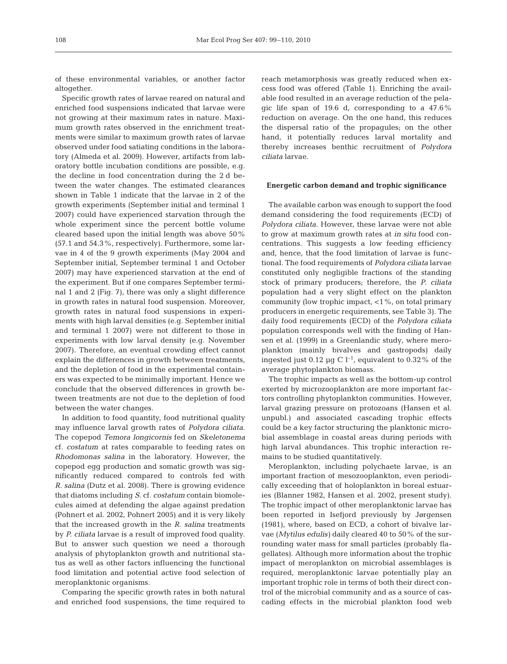of these environmental variables, or another factor altogether.

Specific growth rates of larvae reared on natural and enriched food suspensions indicated that larvae were not growing at their maximum rates in nature. Maximum growth rates observed in the enrichment treatments were similar to maximum growth rates of larvae observed under food satiating conditions in the laboratory (Almeda et al. 2009). However, artifacts from laboratory bottle incubation conditions are possible, e.g. the decline in food concentration during the 2 d between the water changes. The estimated clearances shown in Table 1 indicate that the larvae in 2 of the growth experiments (September initial and terminal 1 2007) could have experienced starvation through the whole experiment since the percent bottle volume cleared based upon the initial length was above 50% (57.1 and 54.3%, respectively). Furthermore, some larvae in 4 of the 9 growth experiments (May 2004 and September initial, September terminal 1 and October 2007) may have experienced starvation at the end of the experiment. But if one compares September terminal 1 and 2 (Fig. 7), there was only a slight difference in growth rates in natural food suspension. Moreover, growth rates in natural food suspensions in experiments with high larval densities (e.g. September initial and terminal 1 2007) were not different to those in experiments with low larval density (e.g. November 2007). Therefore, an eventual crowding effect cannot explain the differences in growth between treatments, and the depletion of food in the experimental containers was expected to be minimally important. Hence we conclude that the observed differences in growth between treatments are not due to the depletion of food between the water changes.

In addition to food quantity, food nutritional quality may influence larval growth rates of *Polydora ciliata*. The copepod *Temora longicornis* fed on *Skeletonema* cf. *costatum* at rates comparable to feeding rates on *Rhodomonas salina* in the laboratory. However, the copepod egg production and somatic growth was significantly reduced compared to controls fed with *R. salina* (Dutz et al. 2008). There is growing evidence that diatoms including *S.* cf. *costatum* contain biomolecules aimed at defending the algae against predation (Pohnert et al. 2002, Pohnert 2005) and it is very likely that the increased growth in the *R. salina* treatments by *P. ciliata* larvae is a result of improved food quality. But to answer such question we need a thorough analysis of phytoplankton growth and nutritional status as well as other factors influencing the functional food limitation and potential active food selection of meroplanktonic organisms.

Comparing the specific growth rates in both natural and enriched food suspensions, the time required to

reach metamorphosis was greatly reduced when excess food was offered (Table 1). Enriching the available food resulted in an average reduction of the pelagic life span of 19.6 d, corresponding to a 47.6% reduction on average. On the one hand, this reduces the dispersal ratio of the propagules; on the other hand, it potentially reduces larval mortality and thereby increases benthic recruitment of *Polydora ciliata* larvae.

#### **Energetic carbon demand and trophic significance**

The available carbon was enough to support the food demand considering the food requirements (ECD) of *Polydora ciliata*. However, these larvae were not able to grow at maximum growth rates at *in situ* food concentrations. This suggests a low feeding efficiency and, hence, that the food limitation of larvae is functional. The food requirements of *Polydora ciliata* larvae constituted only negligible fractions of the standing stock of primary producers; therefore, the *P. ciliata* population had a very slight effect on the plankton community (low trophic impact, <1%, on total primary producers in energetic requirements, see Table 3). The daily food requirements (ECD) of the *Polydora ciliata* population corresponds well with the finding of Hansen et al. (1999) in a Greenlandic study, where meroplankton (mainly bivalves and gastropods) daily ingested just 0.12 µg C  $l^{-1}$ , equivalent to 0.32% of the average phytoplankton biomass.

The trophic impacts as well as the bottom-up control exerted by microzooplankton are more important factors controlling phytoplankton communities. However, larval grazing pressure on protozoans (Hansen et al. unpubl.) and associated cascading trophic effects could be a key factor structuring the planktonic microbial assemblage in coastal areas during periods with high larval abundances. This trophic interaction remains to be studied quantitatively.

Meroplankton, including polychaete larvae, is an important fraction of mesozooplankton, even periodically exceeding that of holoplankton in boreal estuaries (Blanner 1982, Hansen et al. 2002, present study). The trophic impact of other meroplanktonic larvae has been reported in Isefjord previously by Jørgensen (1981), where, based on ECD, a cohort of bivalve larvae (*Mytilus edulis)* daily cleared 40 to 50% of the surrounding water mass for small particles (probably flagellates). Although more information about the trophic impact of meroplankton on microbial assemblages is required, meroplanktonic larvae potentially play an important trophic role in terms of both their direct control of the microbial community and as a source of cascading effects in the microbial plankton food web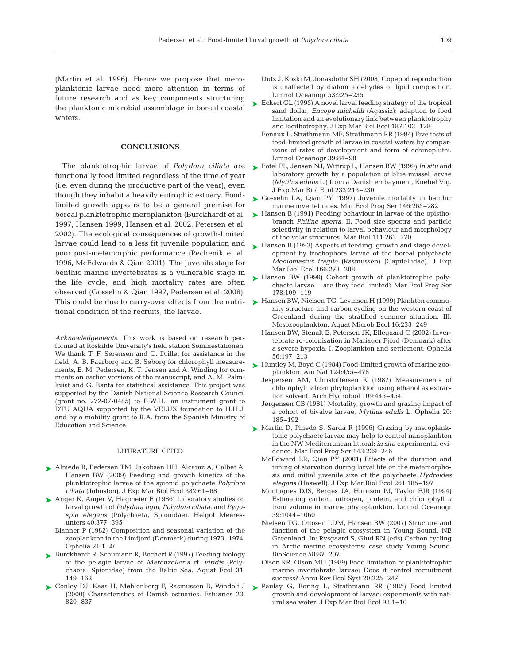(Martin et al. 1996). Hence we propose that meroplanktonic larvae need more attention in terms of future research and as key components structuring the planktonic microbial assemblage in boreal coastal waters.

#### **CONCLUSIONS**

functionally food limited regardless of the time of year (i.e. even during the productive part of the year), even though they inhabit a heavily eutrophic estuary. Foodlimited growth appears to be a general premise for boreal planktotrophic meroplankton (Burckhardt et al. 1997, Hansen 1999, Hansen et al. 2002, Petersen et al. 2002). The ecological consequences of growth-limited larvae could lead to a less fit juvenile population and poor post-metamorphic performance (Pechenik et al. 1996, McEdwards & Qian 2001). The juvenile stage for benthic marine invertebrates is a vulnerable stage in the life cycle, and high mortality rates are often observed (Gosselin & Qian 1997, Pedersen et al. 2008). This could be due to carry-over effects from the nutritional condition of the recruits, the larvae.

*Acknowledgements.* This work is based on research performed at Roskilde University's field station Søminestationen. We thank T. F. Sørensen and G. Drillet for assistance in the field, A. B. Faarborg and B. Søborg for chlorophyll measurements, E. M. Pedersen, K. T. Jensen and A. Winding for comments on earlier versions of the manuscript, and A. M. Palmkvist and G. Banta for statistical assistance. This project was supported by the Danish National Science Research Council (grant no. 272-07-0485) to B.W.H., an instrument grant to DTU AQUA supported by the VELUX foundation to H.H.J. and by a mobility grant to R.A. from the Spanish Ministry of Education and Science.

#### LITERATURE CITED

- Almeda R, Pedersen TM, Jakobsen HH, Alcaraz A, Calbet A, ➤ Hansen BW (2009) Feeding and growth kinetics of the planktotrophic larvae of the spionid polychaete *Polydora ciliata* (Johnston). J Exp Mar Biol Ecol 382:61–68
- ▶ Anger K, Anger V, Hagmeier E (1986) Laboratory studies on larval growth of *Polydora ligni*, *Polydora ciliata*, and *Pygospio elegans* (Polychaeta, Spionidae). Helgol Meeresunters 40:377–395
	- Blanner P (1982) Composition and seasonal variation of the zooplankton in the Limfjord (Denmark) during 1973–1974. Ophelia 21:1–40
- ► Burckhardt R, Schumann R, Bochert R (1997) Feeding biology of the pelagic larvae of *Marenzelleria* cf. *viridis* (Polychaeta: Spionidae) from the Baltic Sea. Aquat Ecol 31: 149–162
- Conley DJ, Kaas H, Møhlenberg F, Rasmussen B, Windolf J ➤ (2000) Characteristics of Danish estuaries. Estuaries 23: 820–837
- Dutz J, Koski M, Jonasdottir SH (2008) Copepod reproduction is unaffected by diatom aldehydes or lipid composition. Limnol Oceanogr 53:225–235
- ► Eckert GL (1995) A novel larval feeding strategy of the tropical sand dollar, *Encope michelili* (Agassiz): adaption to food limitation and an evolutionary link between planktotrophy and lecithotrophy. J Exp Mar Biol Ecol 187:103–128
	- Fenaux L, Strathmann MF, Strathmann RR (1994) Five tests of food-limited growth of larvae in coastal waters by comparisons of rates of development and form of echinoplutei. Limnol Oceanogr 39:84–98
- The planktotrophic larvae of *Polydora ciliata* are ► Fotel FL, Jensen NJ, Wittrup L, Hansen BW (1999) *In situ* and laboratory growth by a population of blue mussel larvae (*Mytilus edulis* L.) from a Danish embayment, Knebel Vig. J Exp Mar Biol Ecol 233:213–230
	- ► Gosselin LA, Qian PY (1997) Juvenile mortality in benthic marine invertebrates. Mar Ecol Prog Ser 146:265–282
	- ► Hansen B (1991) Feeding behaviour in larvae of the opisthobranch *Philine aperta*. II. Food size spectra and particle selectivity in relation to larval behaviour and morphology of the velar structures. Mar Biol 111:263–270
	- ► Hansen B (1993) Aspects of feeding, growth and stage development by trochophora larvae of the boreal polychaete *Mediomastus fragile* (Rasmussen) (Capitellidae). J Exp Mar Biol Ecol 166:273–288
	- ► Hansen BW (1999) Cohort growth of planktotrophic polychaete larvae — are they food limited? Mar Ecol Prog Ser 178:109–119
	- ► Hansen BW, Nielsen TG, Levinsen H (1999) Plankton community structure and carbon cycling on the western coast of Greenland during the stratified summer situation. III. Mesozooplankton. Aquat Microb Ecol 16:233–249
		- Hansen BW, Stenalt E, Petersen JK, Ellegaard C (2002) Invertebrate re-colonisation in Mariager Fjord (Denmark) after a severe hypoxia. I. Zooplankton and settlement. Ophelia 56:197–213
	- ► Huntley M, Boyd C (1984) Food-limited growth of marine zooplankton. Am Nat 124:455–478
		- Jespersen AM, Christoffersen K (1987) Measurements of chlorophyll *a* from phytoplankton using ethanol as extraction solvent. Arch Hydrobiol 109:445–454
		- Jørgensen CB (1981) Mortality, growth and grazing impact of a cohort of bivalve larvae, *Mytilus edulis* L. Ophelia 20: 185–192
	- ► Martin D, Pinedo S, Sardá R (1996) Grazing by meroplanktonic polychaete larvae may help to control nanoplankton in the NW Mediterranean littoral: *in situ* experimental evidence. Mar Ecol Prog Ser 143:239–246
		- McEdward LR, Qian PY (2001) Effects of the duration and timing of starvation during larval life on the metamorphosis and initial juvenile size of the polychaete *Hydroides elegans* (Haswell). J Exp Mar Biol Ecol 261:185–197
		- Montagnes DJS, Berges JA, Harrison PJ, Taylor FJR (1994) Estimating carbon, nitrogen, protein, and chlorophyll *a* from volume in marine phytoplankton. Limnol Oceanogr 39:1044–1060
		- Nielsen TG, Ottosen LDM, Hansen BW (2007) Structure and function of the pelagic ecosystem in Young Sound, NE Greenland. In: Rysgaard S, Glud RN (eds) Carbon cycling in Arctic marine ecosystems: case study Young Sound. BioScience 58:87–207
		- Olson RR, Olson MH (1989) Food limitation of planktotrophic marine invertebrate larvae: Does it control recruitment success? Annu Rev Ecol Syst 20:225–247
	- ▶ Paulay G, Boring L, Strathmann RR (1985) Food limited growth and development of larvae: experiments with natural sea water. J Exp Mar Biol Ecol 93:1–10